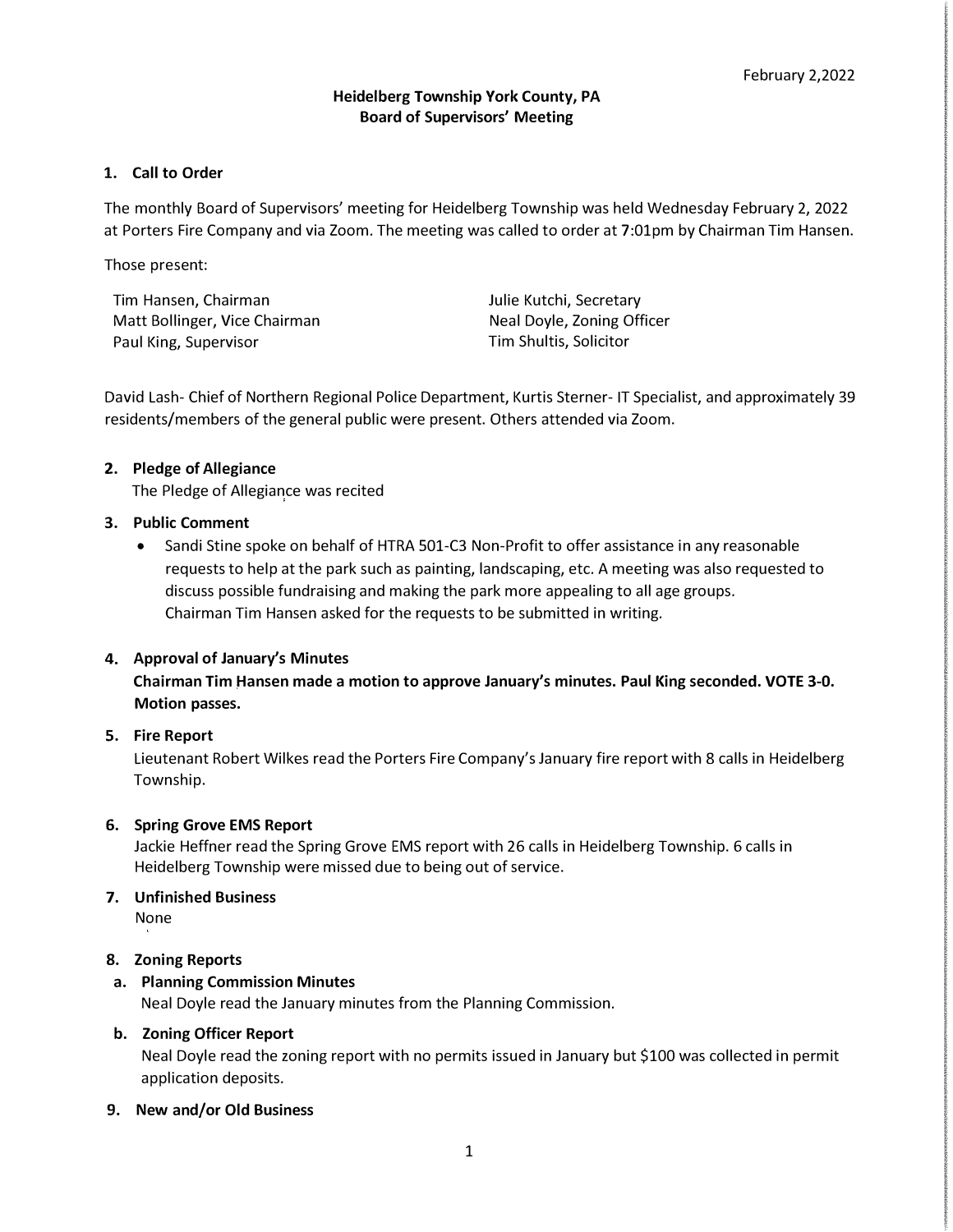# **1. Call to Order**

The monthly Board of Supervisors' meeting for Heidelberg Township was held Wednesday February 2, 2022 at Porters Fire Company and via Zoom. The meeting was called to order at 7:01pm by Chairman Tim Hansen.

Those present:

Tim Hansen, Chairman Matt Bollinger, Vice Chairman Paul King, Supervisor

Julie Kutchi, Secretary Neal Doyle, Zoning Officer Tim Shultis, Solicitor

David Lash- Chief of Northern Regional Police Department, Kurtis Sterner- IT Specialist, and approximately 39 residents/members of the general public were present. Others attended via Zoom.

# **2. Pledge of Allegiance**

The Pledge of Allegiance was recited

## **3. Public Comment**

• Sandi Stine spoke on behalf of HTRA 501-C3 Non-Profit to offer assistance in any reasonable requests to help at the park such as painting, landscaping, etc. A meeting was also requested to discuss possible fundraising and making the park more appealing to all age groups. Chairman Tim Hansen asked for the requests to be submitted in writing.

# **4. Approval of January's Minutes**

**Chairman Tim �ansen made a motion to approve January's minutes. Paul King seconded. VOTE 3-0. Motion passes.**

# **5. Fire Report**

Lieutenant Robert Wilkes read the Porters Fire Company's January fire report with 8 calls in Heidelberg Township.

## **6. Spring Grove EMS Report**

Jackie Heffner read the Spring Grove EMS report with 26 calls in Heidelberg Township. 6 calls in Heidelberg Township were missed due to being out of service.

# **7. Unfinished Business**

None

## **8. Zoning Reports**

# **a. Planning Commission Minutes**

Neal Doyle read the January minutes from the Planning Commission.

## **b. Zoning Officer Report**

Neal Doyle read the zoning report with no permits issued in January but \$100 was collected in permit application deposits.

## **9. New and/or Old Business**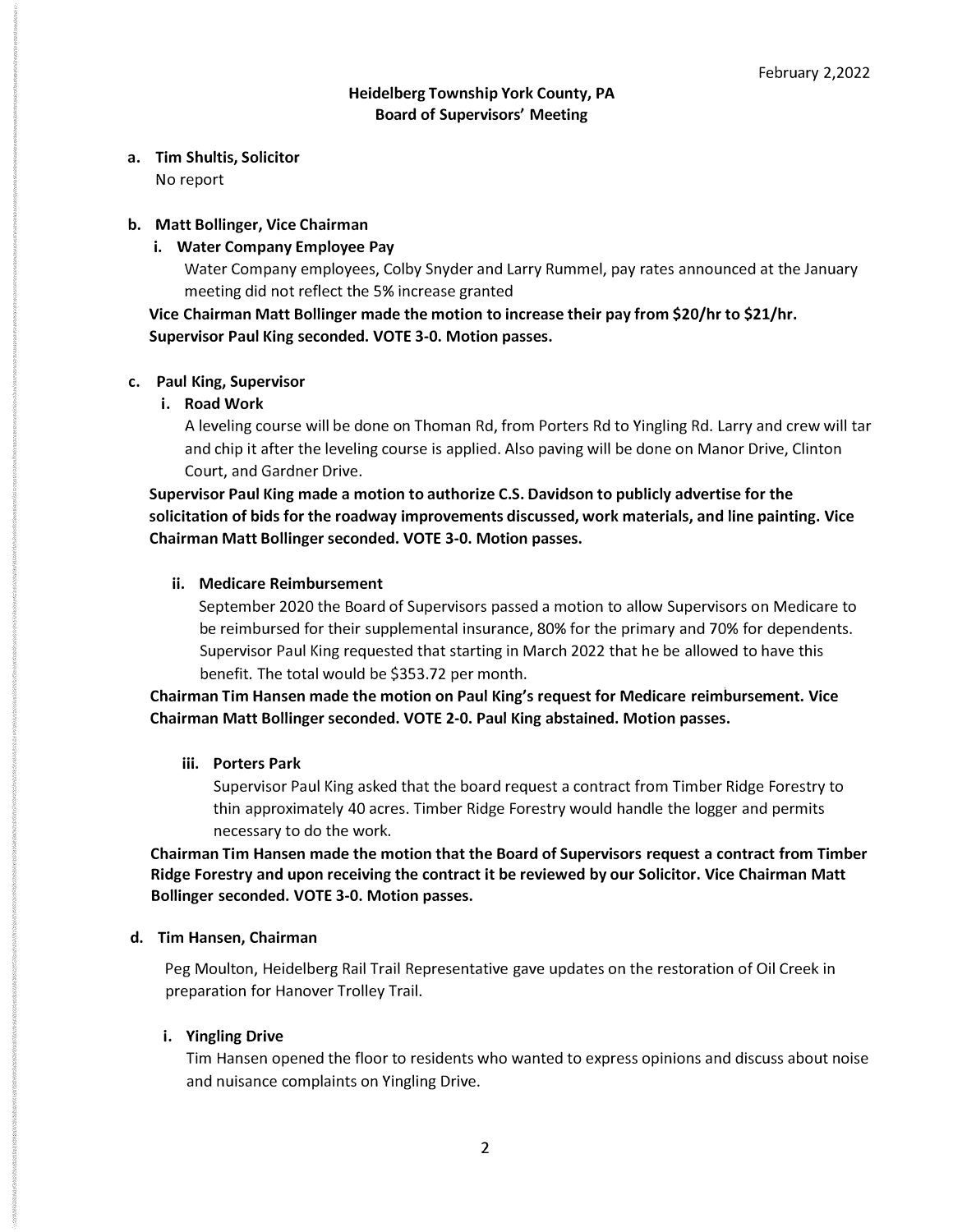**a. Tim Shultis, Solicitor**

No report

# **b. Matt Bollinger, Vice Chairman**

**i. Water Company Employee Pay**

Water Company employees, Colby Snyder and Larry Rummel, pay rates announced at the January meeting did not reflect the 5% increase granted

**Vice Chairman Matt Bollinger made the motion to increase their pay from \$20/hr to \$21/hr. Supervisor Paul King seconded. VOTE 3-0. Motion passes.** 

## **c. Paul King, Supervisor**

**i. Road Work**

A leveling course will be done on Thoman Rd, from Porters Rd to Yingling Rd. Larry and crew will tar and chip it after the leveling course is applied. Also paving will be done on Manor Drive, Clinton Court, and Gardner Drive.

**Supervisor Paul King made a motion to authorize C.S. Davidson to publicly advertise for the solicitation of bids for the roadway improvements discussed, work materials, and line painting. Vice Chairman Matt Bollinger seconded. VOTE 3-0. Motion passes.** 

## **ii. Medicare Reimbursement**

September 2020 the Board of Supervisors passed a motion to allow Supervisors on Medicare to be reimbursed for their supplemental insurance, 80% for the primary and 70% for dependents. Supervisor Paul King requested that starting in March 2022 that he be allowed to have this benefit. The total would be \$353.72 per month.

**Chairman Tim Hansen made the motion on Paul King's request for Medicare reimbursement. Vice Chairman Matt Bollinger seconded. VOTE 2-0. Paul King abstained. Motion passes.** 

## **iii. Porters Park**

Supervisor Paul King asked that the board request a contract from Timber Ridge Forestry to thin approximately 40 acres. Timber Ridge Forestry would handle the logger and permits necessary to do the work.

**Chairman Tim Hansen made the motion that the Board of Supervisors request a contract from Timber Ridge Forestry and upon receiving the contract it be reviewed by our Solicitor. Vice Chairman Matt Bollinger seconded. VOTE 3-0. Motion passes.** 

## **d. Tim Hansen, Chairman**

Peg Moulton, Heidelberg Rail Trail Representative gave updates on the restoration of Oil Creek in preparation for Hanover Trolley Trail.

# **i. Yingling Drive**

Tim Hansen opened the floor to residents who wanted to express opinions and discuss about noise and nuisance complaints on Yingling Drive.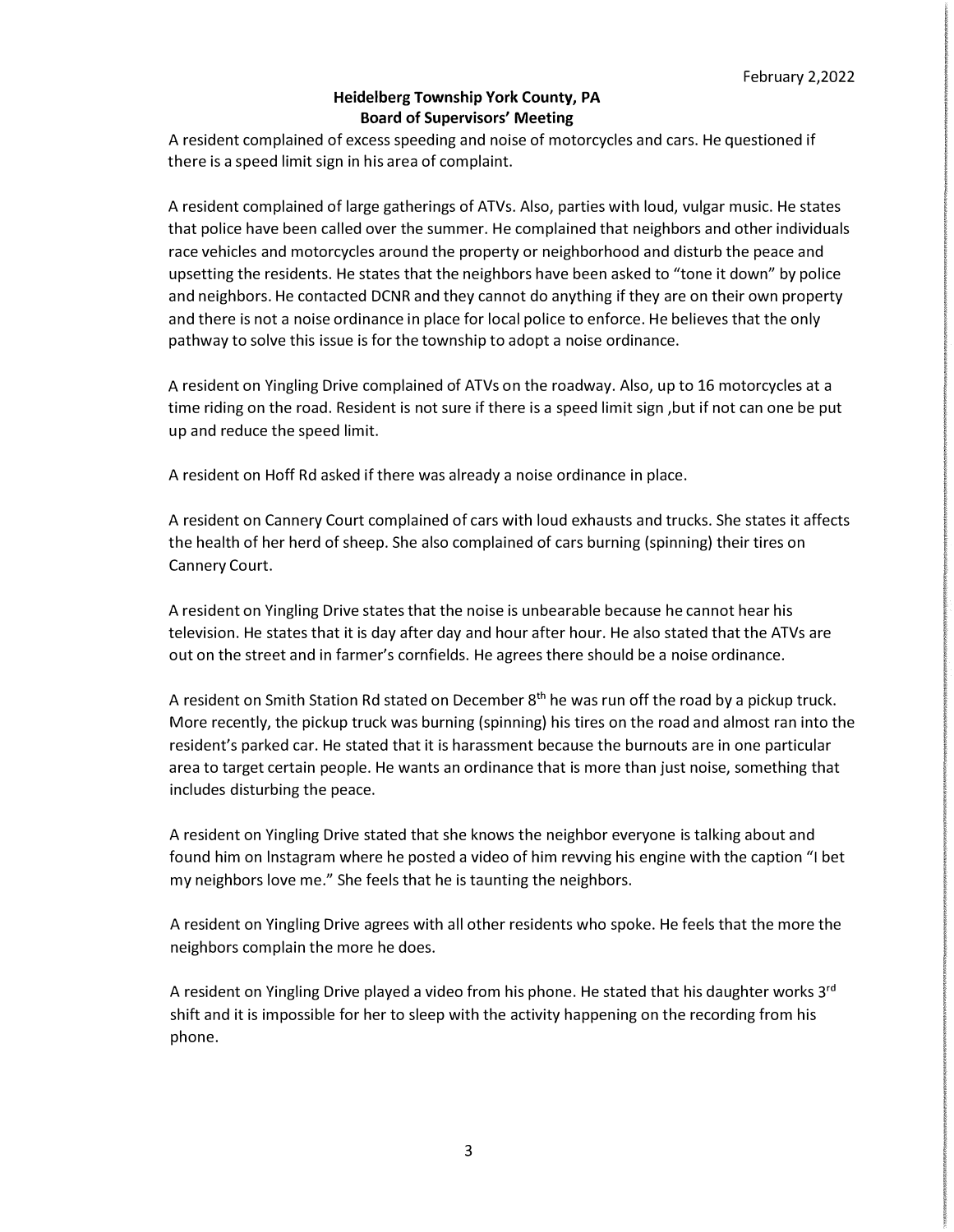A resident complained of excess speeding and noise of motorcycles and cars. He questioned if there is a speed limit sign in his area of complaint.

A resident complained of large gatherings of ATVs. Also, parties with loud, vulgar music. He states that police have been called over the summer. He complained that neighbors and other individuals race vehicles and motorcycles around the property or neighborhood and disturb the peace and upsetting the residents. He states that the neighbors have been asked to "tone it down" by police and neighbors. He contacted DCNR and they cannot do anything if they are on their own property and there is not a noise ordinance in place for local police to enforce. He believes that the only pathway to solve this issue is for the township to adopt a noise ordinance.

A resident on Yingling Drive complained of ATVs on the roadway. Also, up to 16 motorcycles at a time riding on the road. Resident is not sure if there is a speed limit sign ,but if not can one be put up and reduce the speed limit.

A resident on Hoff Rd asked if there was already a noise ordinance in place.

A resident on Cannery Court complained of cars with loud exhausts and trucks. She states it affects the health of her herd of sheep. She also complained of cars burning (spinning) their tires on Cannery Court.

A resident on Yingling Drive states that the noise is unbearable because he cannot hear his television. He states that it is day after day and hour after hour. He also stated that the ATVs are out on the street and in farmer's cornfields. He agrees there should be a noise ordinance.

A resident on Smith Station Rd stated on December 8<sup>th</sup> he was run off the road by a pickup truck. More recently, the pickup truck was burning (spinning) his tires on the road and almost ran into the resident's parked car. He stated that it is harassment because the burnouts are in one particular area to target certain people. He wants an ordinance that is more than just noise, something that includes disturbing the peace.

A resident on Yingling Drive stated that she knows the neighbor everyone is talking about and found him on lnstagram where he posted a video of him revving his engine with the caption "I bet my neighbors love me." She feels that he is taunting the neighbors.

A resident on Yingling Drive agrees with all other residents who spoke. He feels that the more the neighbors complain the more he does.

A resident on Yingling Drive played a video from his phone. He stated that his daughter works 3<sup>rd</sup> shift and it is impossible for her to sleep with the activity happening on the recording from his phone.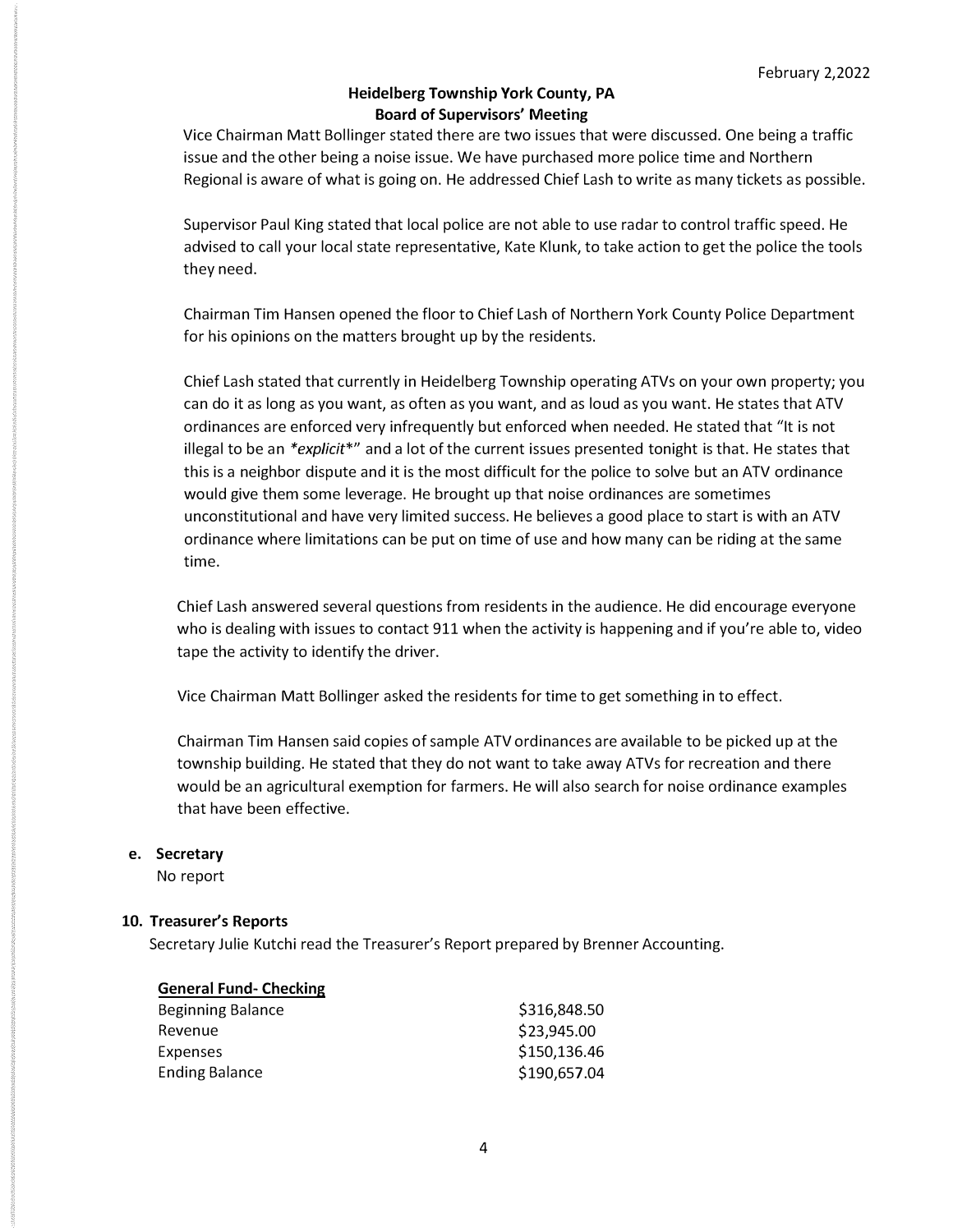Vice Chairman Matt Bollinger stated there are two issues that were discussed. One being a traffic issue and the other being a noise issue. We have purchased more police time and Northern Regional is aware of what is going on. He addressed Chief Lash to write as many tickets as possible.

Supervisor Paul King stated that local police are not able to use radar to control traffic speed. He advised to call your local state representative, Kate Klunk, to take action to get the police the tools they need.

Chairman Tim Hansen opened the floor to Chief Lash of Northern York County Police Department for his opinions on the matters brought up by the residents.

Chief Lash stated that currently in Heidelberg Township operating ATVs on your own property; you can do it as long as you want, as often as you want, and as loud as you want. He states that ATV ordinances are enforced very infrequently but enforced when needed. He stated that "It is not illegal to be an *\*explicit\*"* and a lot of the current issues presented tonight is that. He states that this is a neighbor dispute and it is the most difficult for the police to solve but an ATV ordinance would give them some leverage. He brought up that noise ordinances are sometimes unconstitutional and have very limited success. He believes a good place to start is with an ATV ordinance where limitations can be put on time of use and how many can be riding at the same time.

Chief Lash answered several questions from residents in the audience. He did encourage everyone who is dealing with issues to contact 911 when the activity is happening and if you're able to, video tape the activity to identify the driver.

Vice Chairman Matt Bollinger asked the residents for time to get something in to effect.

Chairman Tim Hansen said copies of sample ATV ordinances are available to be picked up at the township building. He stated that they do not want to take away ATVs for recreation and there would be an agricultural exemption for farmers. He will also search for noise ordinance examples that have been effective.

## **e. Secretary**

No report

## **10. Treasurer's Reports**

Secretary Julie Kutchi read the Treasurer's Report prepared by Brenner Accounting.

## **General Fund- Checking**

| Beginning Balance     | \$316,848.50 |
|-----------------------|--------------|
| Revenue               | \$23,945.00  |
| Expenses              | \$150,136.46 |
| <b>Ending Balance</b> | \$190,657.04 |
|                       |              |